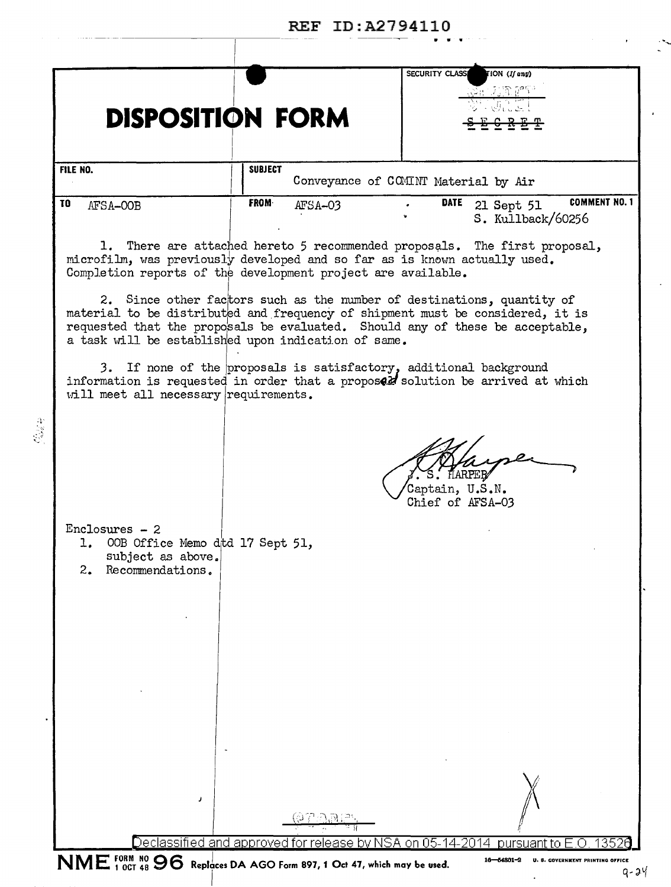| REF ID:A2794110 |  |  |  |  |  |  |  |  |  |  |
|-----------------|--|--|--|--|--|--|--|--|--|--|
|-----------------|--|--|--|--|--|--|--|--|--|--|

|                                                                                                          | <b>DISPOSITION FORM</b>                                      | SECURITY CLASS<br>IION (If any)<br>新 (利流解釈)                                                                                                                                                                                      |
|----------------------------------------------------------------------------------------------------------|--------------------------------------------------------------|----------------------------------------------------------------------------------------------------------------------------------------------------------------------------------------------------------------------------------|
| FILE NO.                                                                                                 | <b>SUBJECT</b>                                               | Conveyance of CCMINT Material by Air                                                                                                                                                                                             |
| <b>TO</b><br>AFSA-OOB                                                                                    | <b>FROM</b><br>$AFSA-03$                                     | <b>COMMENT NO. 1</b><br>DATE<br>21 Sept 51<br>S. Kullback/60256                                                                                                                                                                  |
|                                                                                                          | Completion reports of the development project are available. | 1. There are attached hereto 5 recommended proposals. The first proposal,<br>microfilm, was previously developed and so far as is known actually used.<br>2. Since other factors such as the number of destinations, quantity of |
|                                                                                                          | a task will be established upon indication of same.          | material to be distributed and frequency of shipment must be considered, it is<br>requested that the proposals be evaluated. Should any of these be acceptable,                                                                  |
| will meet all necessary requirements.                                                                    |                                                              | 3. If none of the proposals is satisfactory, additional background<br>information is requested in order that a proposed solution be arrived at which                                                                             |
|                                                                                                          |                                                              | Captain, U.S.N.<br>Chief of AFSA-03                                                                                                                                                                                              |
| $Enclosures - 2$<br>OOB Office Memo dtd 17 Sept 51,<br>ı.<br>subject as above.<br>Recommendations.<br>2. |                                                              |                                                                                                                                                                                                                                  |
|                                                                                                          |                                                              |                                                                                                                                                                                                                                  |
|                                                                                                          |                                                              |                                                                                                                                                                                                                                  |
| J                                                                                                        |                                                              |                                                                                                                                                                                                                                  |
|                                                                                                          | <u>Declassified and approved for release by NSA</u>          | on 05<br>pursuant                                                                                                                                                                                                                |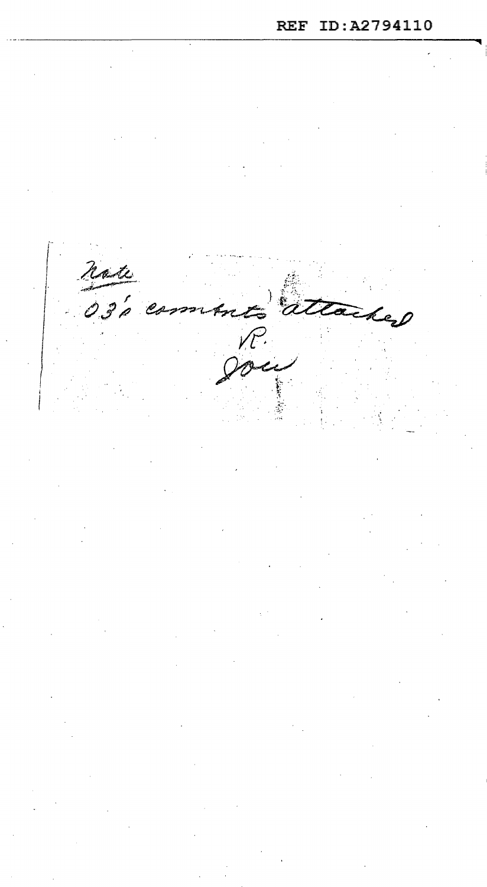REF ID:A2794110 nade<br>030 commen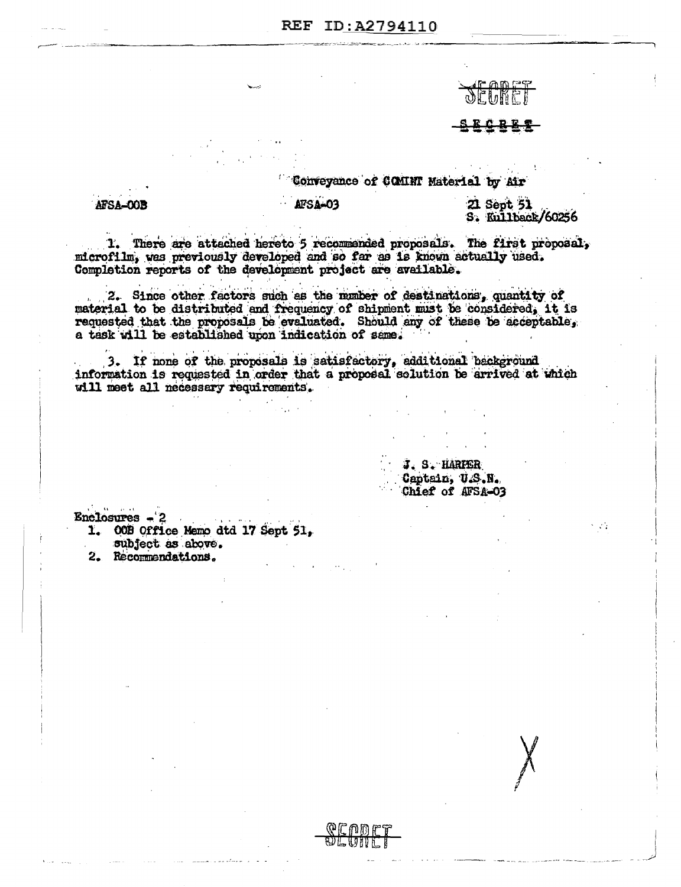## Conveyance of COMMT Material by Air

**AFSA-COB** 

AFSA-03

21 Sept 51 S. Kullback/60256

 $\sim 10^6$ 

1. There are attached hereto 5 recommended proposals. The first proposal, microfilm, was previously developed and so far as is known actually used. Completion reports of the development project are available.

2. Since other factors such as the number of destinations, quantity of material to be distributed and frequency of shipment must be considered, it is requested that the proposals be evaluated. Should any of these be acceptable, a task will be established upon indication of same.

3. If none of the proposals is satisfactory, additional background information is requested in order that a proposal solution be arrived at which will meet all necessary requirements.

> J. S. HARPER Captain, U.S.N. Chief of AFSA-03

Enclosures - 2

- 1. 009 Office Memo dtd 17 Sept 51,
- subject as above.
- 2. Recommendations.